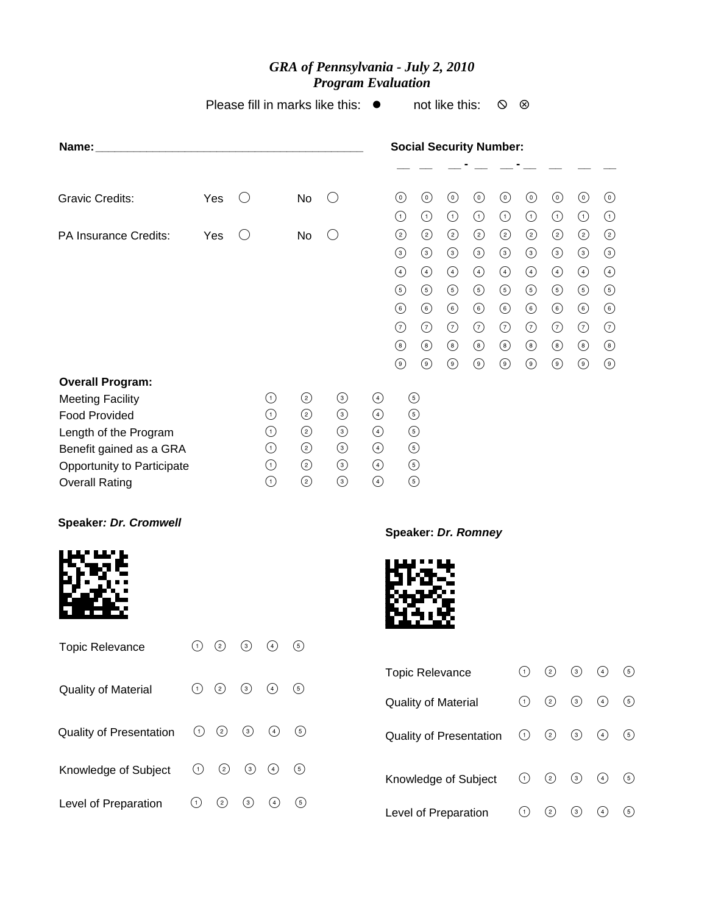## *GRA of Pennsylvania - July 2, 2010 Program Evaluation*

Please fill in marks like this:  $\bullet$  not like this:  $\circ$   $\circ$ 

| Name:                                                                                                                                                                                        |         |         |         |                                                                |                                                                |                                                                |                                                                                  |                                                                                                |                                                                                             |                                                                                                      | <b>Social Security Number:</b>                                                                       |                                                                                                |                                                                                                |                                                                                                |                                                                                                             |                                                                                                |                       |
|----------------------------------------------------------------------------------------------------------------------------------------------------------------------------------------------|---------|---------|---------|----------------------------------------------------------------|----------------------------------------------------------------|----------------------------------------------------------------|----------------------------------------------------------------------------------|------------------------------------------------------------------------------------------------|---------------------------------------------------------------------------------------------|------------------------------------------------------------------------------------------------------|------------------------------------------------------------------------------------------------------|------------------------------------------------------------------------------------------------|------------------------------------------------------------------------------------------------|------------------------------------------------------------------------------------------------|-------------------------------------------------------------------------------------------------------------|------------------------------------------------------------------------------------------------|-----------------------|
|                                                                                                                                                                                              |         |         |         |                                                                |                                                                |                                                                |                                                                                  |                                                                                                |                                                                                             |                                                                                                      |                                                                                                      |                                                                                                |                                                                                                |                                                                                                |                                                                                                             |                                                                                                |                       |
| <b>Gravic Credits:</b>                                                                                                                                                                       |         | Yes     | O       |                                                                | No                                                             | $\left( \right)$                                               |                                                                                  | $\odot$<br>$\odot$                                                                             | $\odot$<br>$\odot$                                                                          | $\odot$<br>$\odot$                                                                                   | $\odot$<br>$\odot$                                                                                   | $\odot$<br>$\odot$                                                                             | $\odot$<br>$\odot$                                                                             | $\odot$<br>$\odot$                                                                             | $\odot$<br>$\odot$                                                                                          | $\odot$<br>$\odot$                                                                             |                       |
| PA Insurance Credits:                                                                                                                                                                        |         | Yes     | O       |                                                                | No                                                             | $\bigcirc$                                                     |                                                                                  | $\odot$<br>$\odot$<br>$\bigodot$<br>$\odot$<br>$\odot$<br>$\odot$<br>$\circledcirc$<br>$\odot$ | $\odot$<br>$\odot$<br>$\bigcirc$<br>$\odot$<br>$\odot$<br>$\odot$<br>$\circledS$<br>$\odot$ | $\circled{2}$<br>$\odot$<br>$\bigcirc$<br>$\odot$<br>$\odot$<br>$\odot$<br>$\circledcirc$<br>$\odot$ | $\circled{2}$<br>$\odot$<br>$\bigcirc$<br>$\odot$<br>$\odot$<br>$\odot$<br>$\circledcirc$<br>$\odot$ | $\odot$<br>$\odot$<br>$\bigodot$<br>$\odot$<br>$\odot$<br>$\odot$<br>$\circledcirc$<br>$\odot$ | $\odot$<br>$\odot$<br>$\bigcirc$<br>$\odot$<br>$\odot$<br>$\odot$<br>$\circledcirc$<br>$\odot$ | $\odot$<br>$\odot$<br>$\bigcirc$<br>$\odot$<br>$\odot$<br>$\odot$<br>$\circledcirc$<br>$\odot$ | $\odot$<br>$\odot$<br>$\bigodot$<br>$\circled{5}$<br>$\circledcirc$<br>$\odot$<br>$\circledcirc$<br>$\odot$ | $\odot$<br>$\odot$<br>$\bigcirc$<br>$\odot$<br>$\odot$<br>$\odot$<br>$\circledcirc$<br>$\odot$ |                       |
| <b>Overall Program:</b><br><b>Meeting Facility</b><br><b>Food Provided</b><br>Length of the Program<br>Benefit gained as a GRA<br><b>Opportunity to Participate</b><br><b>Overall Rating</b> |         |         |         | $\odot$<br>$\odot$<br>$\odot$<br>$\odot$<br>$\odot$<br>$\odot$ | $\odot$<br>$\odot$<br>$\odot$<br>$\odot$<br>$\odot$<br>$\odot$ | $\odot$<br>$\odot$<br>$\odot$<br>$\odot$<br>$\odot$<br>$\odot$ | $\bigcirc$<br>$\bigcirc$<br>$\bigcirc$<br>$\bigcirc$<br>$\bigcirc$<br>$\bigcirc$ |                                                                                                | $\odot$<br>$\odot$<br>$\odot$<br>$\odot$<br>$\odot$<br>$\odot$                              |                                                                                                      |                                                                                                      |                                                                                                |                                                                                                |                                                                                                |                                                                                                             |                                                                                                |                       |
| <b>Speaker: Dr. Cromwell</b>                                                                                                                                                                 |         |         |         |                                                                |                                                                |                                                                |                                                                                  |                                                                                                |                                                                                             |                                                                                                      | Speaker: Dr. Romney                                                                                  |                                                                                                |                                                                                                |                                                                                                |                                                                                                             |                                                                                                |                       |
|                                                                                                                                                                                              |         |         |         |                                                                |                                                                |                                                                |                                                                                  |                                                                                                |                                                                                             |                                                                                                      |                                                                                                      |                                                                                                |                                                                                                |                                                                                                |                                                                                                             |                                                                                                |                       |
| <b>Topic Relevance</b>                                                                                                                                                                       | $\odot$ | $\odot$ | $\odot$ | $\bigcirc$                                                     | $\odot$                                                        |                                                                |                                                                                  |                                                                                                |                                                                                             |                                                                                                      |                                                                                                      |                                                                                                |                                                                                                |                                                                                                |                                                                                                             |                                                                                                |                       |
| Quality of Material                                                                                                                                                                          | $\odot$ | $\odot$ | $\odot$ | $\bigodot$                                                     | $\odot$                                                        |                                                                |                                                                                  |                                                                                                | <b>Topic Relevance</b><br><b>Quality of Material</b>                                        |                                                                                                      |                                                                                                      |                                                                                                | $\odot$<br>$\odot$                                                                             | $\odot$<br>$\odot$                                                                             | $\odot$<br>$\odot$                                                                                          | $\bigcirc$<br>$\bigodot$                                                                       | $\bigodot$<br>$\odot$ |
| Quality of Presentation                                                                                                                                                                      | $\odot$ | $\odot$ | $\odot$ | $\bigcirc$                                                     | $\odot$                                                        |                                                                |                                                                                  |                                                                                                |                                                                                             |                                                                                                      | <b>Quality of Presentation</b>                                                                       |                                                                                                | $\odot$                                                                                        | $\odot$                                                                                        | $\odot$                                                                                                     | $\bigodot$                                                                                     | $\odot$               |
| Knowledge of Subject                                                                                                                                                                         | $\odot$ | $\odot$ | $\odot$ | $\bigodot$                                                     | $\odot$                                                        |                                                                |                                                                                  |                                                                                                |                                                                                             |                                                                                                      | Knowledge of Subject                                                                                 |                                                                                                | $\odot$                                                                                        | $\odot$                                                                                        | $\odot$                                                                                                     | $\bigodot$                                                                                     | $\odot$               |

Level of Preparation (1) 2 3 4 5

Level of Preparation ① ② ③ ④ ⑤